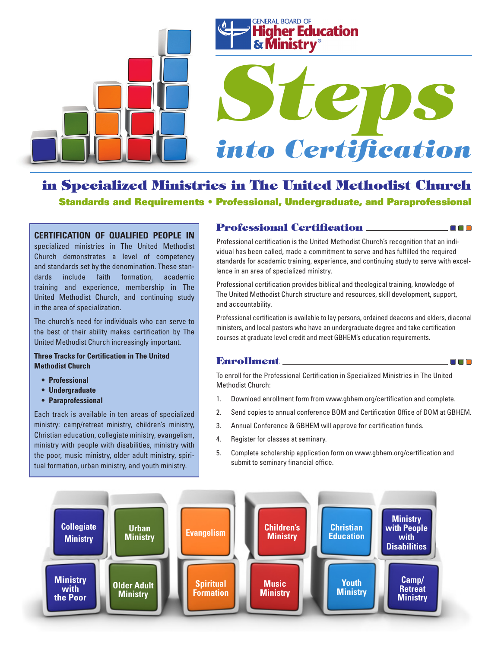



# *Steps into Certification*

# in Specialized Ministries in The United Methodist Church Standards and Requirements • Professional, Undergraduate, and Paraprofessional

#### **CERTIFICATION OF QUALIFIED PEOPLE IN**

specialized ministries in The United Methodist Church demonstrates a level of competency and standards set by the denomination. These standards include faith formation, academic training and experience, membership in The United Methodist Church, and continuing study in the area of specialization.

The church's need for individuals who can serve to the best of their ability makes certification by The United Methodist Church increasingly important.

#### **Three Tracks for Certification in The United Methodist Church**

- **• Professional**
- **• Undergraduate**
- **• Paraprofessional**

Each track is available in ten areas of specialized ministry: camp/retreat ministry, children's ministry, Christian education, collegiate ministry, evangelism, ministry with people with disabilities, ministry with the poor, music ministry, older adult ministry, spiritual formation, urban ministry, and youth ministry.

#### Professional Certification

Professional certification is the United Methodist Church's recognition that an individual has been called, made a commitment to serve and has fulfilled the required standards for academic training, experience, and continuing study to serve with excellence in an area of specialized ministry.

 $\square$   $\square$   $\square$ 

 $\blacksquare$ 

Professional certification provides biblical and theological training, knowledge of The United Methodist Church structure and resources, skill development, support, and accountability.

Professional certification is available to lay persons, ordained deacons and elders, diaconal ministers, and local pastors who have an undergraduate degree and take certification courses at graduate level credit and meet GBHEM's education requirements.

#### Enrollment

To enroll for the Professional Certification in Specialized Ministries in The United Methodist Church:

- 1. Download enrollment form from www.gbhem.org/certification and complete.
- 2. Send copies to annual conference BOM and Certification Office of DOM at GBHEM.
- 3. Annual Conference & GBHEM will approve for certification funds.
- 4. Register for classes at seminary.
- 5. Complete scholarship application form on www.gbhem.org/certification and submit to seminary financial office.

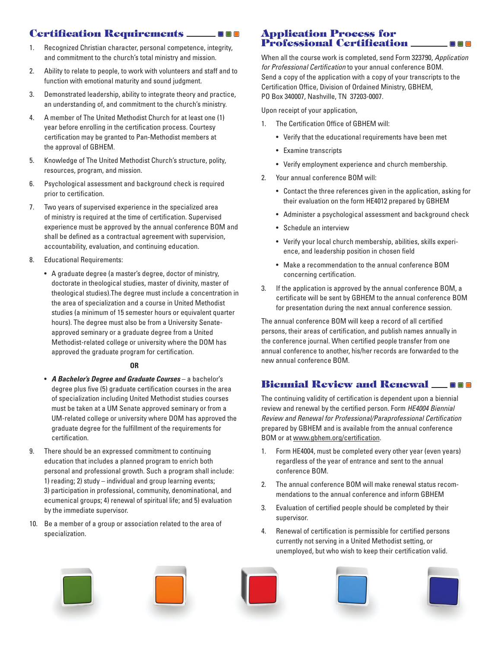## Certification Requirements

- 1. Recognized Christian character, personal competence, integrity, and commitment to the church's total ministry and mission.
- 2. Ability to relate to people, to work with volunteers and staff and to function with emotional maturity and sound judgment.
- 3. Demonstrated leadership, ability to integrate theory and practice, an understanding of, and commitment to the church's ministry.
- 4. A member of The United Methodist Church for at least one (1) year before enrolling in the certification process. Courtesy certification may be granted to Pan-Methodist members at the approval of GBHEM.
- 5. Knowledge of The United Methodist Church's structure, polity, resources, program, and mission.
- 6. Psychological assessment and background check is required prior to certification.
- 7. Two years of supervised experience in the specialized area of ministry is required at the time of certification. Supervised experience must be approved by the annual conference BOM and shall be defined as a contractual agreement with supervision, accountability, evaluation, and continuing education.
- 8. Educational Requirements:
	- • A graduate degree (a master's degree, doctor of ministry, doctorate in theological studies, master of divinity, master of theological studies).The degree must include a concentration in the area of specialization and a course in United Methodist studies (a minimum of 15 semester hours or equivalent quarter hours). The degree must also be from a University Senateapproved seminary or a graduate degree from a United Methodist-related college or university where the DOM has approved the graduate program for certification.

#### **OR**

- • *A Bachelor's Degree and Graduate Courses* a bachelor's degree plus five (5) graduate certification courses in the area of specialization including United Methodist studies courses must be taken at a UM Senate approved seminary or from a UM-related college or university where DOM has approved the graduate degree for the fulfillment of the requirements for certification.
- 9. There should be an expressed commitment to continuing education that includes a planned program to enrich both personal and professional growth. Such a program shall include: 1) reading; 2) study – individual and group learning events; 3) participation in professional, community, denominational, and ecumenical groups; 4) renewal of spiritual life; and 5) evaluation by the immediate supervisor.
- 10. Be a member of a group or association related to the area of specialization.

#### Application Process for Professional Certification

When all the course work is completed, send Form 323790, *Application for Professional Certification* to your annual conference BOM. Send a copy of the application with a copy of your transcripts to the Certification Office, Division of Ordained Ministry, GBHEM, PO Box 340007, Nashville, TN 37203-0007.

 $\Box$   $\Box$   $\Box$ 

Upon receipt of your application,

- 1. The Certification Office of GBHEM will:
	- • Verify that the educational requirements have been met
	- • Examine transcripts
	- Verify employment experience and church membership.
- 2. Your annual conference BOM will:
	- Contact the three references given in the application, asking for their evaluation on the form HE4012 prepared by GBHEM
	- Administer a psychological assessment and background check
	- • Schedule an interview
	- • Verify your local church membership, abilities, skills experience, and leadership position in chosen field
	- Make a recommendation to the annual conference BOM concerning certification.
- 3. If the application is approved by the annual conference BOM, a certificate will be sent by GBHEM to the annual conference BOM for presentation during the next annual conference session.

The annual conference BOM will keep a record of all certified persons, their areas of certification, and publish names annually in the conference journal. When certified people transfer from one annual conference to another, his/her records are forwarded to the new annual conference BOM.

## Biennial Review and Renewal

The continuing validity of certification is dependent upon a biennial review and renewal by the certified person. Form *HE4004 Biennial Review and Renewal for Professional/Paraprofessional Certification* prepared by GBHEM and is available from the annual conference BOM or at www.gbhem.org/certification.

- 1. Form HE4004, must be completed every other year (even years) regardless of the year of entrance and sent to the annual conference BOM.
- 2. The annual conference BOM will make renewal status recommendations to the annual conference and inform GBHEM
- 3. Evaluation of certified people should be completed by their supervisor.
- 4. Renewal of certification is permissible for certified persons currently not serving in a United Methodist setting, or unemployed, but who wish to keep their certification valid.









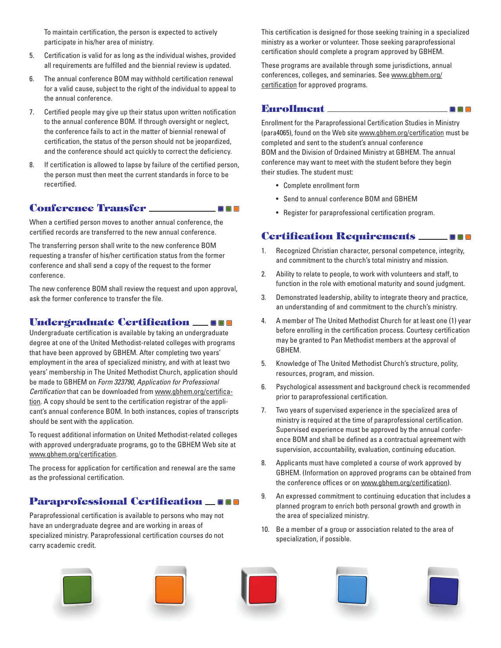To maintain certification, the person is expected to actively participate in his/her area of ministry.

- 5. Certification is valid for as long as the individual wishes, provided all requirements are fulfilled and the biennial review is updated.
- 6. The annual conference BOM may withhold certification renewal for a valid cause, subject to the right of the individual to appeal to the annual conference.
- 7. Certified people may give up their status upon written notification to the annual conference BOM. If through oversight or neglect, the conference fails to act in the matter of biennial renewal of certification, the status of the person should not be jeopardized, and the conference should act quickly to correct the deficiency.
- 8. If certification is allowed to lapse by failure of the certified person, the person must then meet the current standards in force to be recertified.

#### Conference Transfer

When a certified person moves to another annual conference, the certified records are transferred to the new annual conference.

The transferring person shall write to the new conference BOM requesting a transfer of his/her certification status from the former conference and shall send a copy of the request to the former conference.

The new conference BOM shall review the request and upon approval, ask the former conference to transfer the file.

#### Undergraduate Certification **\_\_**\_\_\_

Undergraduate certification is available by taking an undergraduate degree at one of the United Methodist-related colleges with programs that have been approved by GBHEM. After completing two years' employment in the area of specialized ministry, and with at least two years' membership in The United Methodist Church, application should be made to GBHEM on *Form 323790*, *Application for Professional Certification* that can be downloaded from www.gbhem.org/certification. A copy should be sent to the certification registrar of the applicant's annual conference BOM. In both instances, copies of transcripts should be sent with the application.

To request additional information on United Methodist-related colleges with approved undergraduate programs, go to the GBHEM Web site at www.gbhem.org/certification.

The process for application for certification and renewal are the same as the professional certification.

#### **Paraprofessional Certification \_000**

Paraprofessional certification is available to persons who may not have an undergraduate degree and are working in areas of specialized ministry. Paraprofessional certification courses do not carry academic credit.

This certification is designed for those seeking training in a specialized ministry as a worker or volunteer. Those seeking paraprofessional certification should complete a program approved by GBHEM.

These programs are available through some jurisdictions, annual conferences, colleges, and seminaries. See www.gbhem.org/ certification for approved programs.

#### Enrollment

 $\blacksquare$   $\blacksquare$   $\blacksquare$ 

Enrollment for the Paraprofessional Certification Studies in Ministry (para4065), found on the Web site www.gbhem.org/certification must be completed and sent to the student's annual conference BOM and the Division of Ordained Ministry at GBHEM. The annual conference may want to meet with the student before they begin their studies. The student must:

 $\Box$   $\Box$   $\Box$ 

- • Complete enrollment form
- • Send to annual conference BOM and GBHEM
- • Register for paraprofessional certification program.

#### Certification Requirements

- 1. Recognized Christian character, personal competence, integrity, and commitment to the church's total ministry and mission.
- 2. Ability to relate to people, to work with volunteers and staff, to function in the role with emotional maturity and sound judgment.
- 3. Demonstrated leadership, ability to integrate theory and practice, an understanding of and commitment to the church's ministry.
- 4. A member of The United Methodist Church for at least one (1) year before enrolling in the certification process. Courtesy certification may be granted to Pan Methodist members at the approval of GBHEM.
- 5. Knowledge of The United Methodist Church's structure, polity, resources, program, and mission.
- 6. Psychological assessment and background check is recommended prior to paraprofessional certification.
- 7. Two years of supervised experience in the specialized area of ministry is required at the time of paraprofessional certification. Supervised experience must be approved by the annual conference BOM and shall be defined as a contractual agreement with supervision, accountability, evaluation, continuing education.
- 8. Applicants must have completed a course of work approved by GBHEM. (Information on approved programs can be obtained from the conference offices or on www.gbhem.org/certification).
- 9. An expressed commitment to continuing education that includes a planned program to enrich both personal growth and growth in the area of specialized ministry.
- 10. Be a member of a group or association related to the area of specialization, if possible.